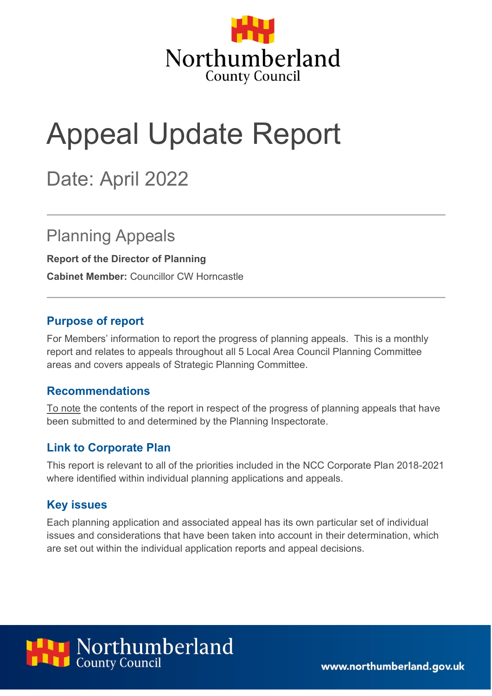

# Appeal Update Report

# Date: April 2022

### Planning Appeals

**Report of the Director of Planning**

**Cabinet Member:** Councillor CW Horncastle

#### **Purpose of report**

For Members' information to report the progress of planning appeals. This is a monthly report and relates to appeals throughout all 5 Local Area Council Planning Committee areas and covers appeals of Strategic Planning Committee.

#### **Recommendations**

To note the contents of the report in respect of the progress of planning appeals that have been submitted to and determined by the Planning Inspectorate.

#### **Link to Corporate Plan**

This report is relevant to all of the priorities included in the NCC Corporate Plan 2018-2021 where identified within individual planning applications and appeals.

#### **Key issues**

Each planning application and associated appeal has its own particular set of individual issues and considerations that have been taken into account in their determination, which are set out within the individual application reports and appeal decisions.



www.northumberland.gov.uk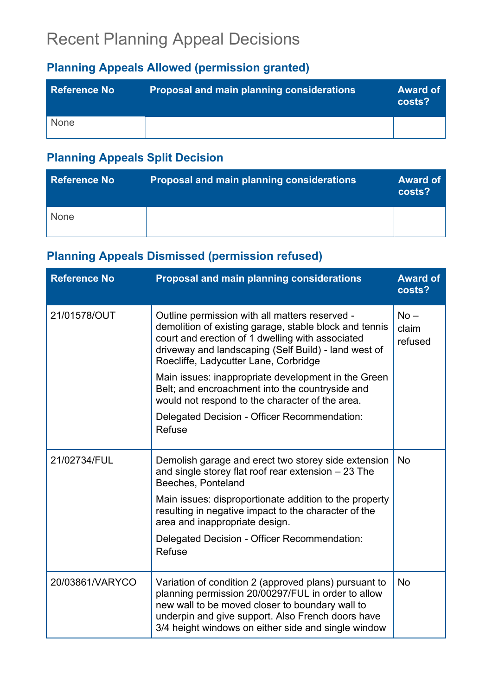# Recent Planning Appeal Decisions

### **Planning Appeals Allowed (permission granted)**

| <b>Reference No</b> | Proposal and main planning considerations | <b>Award of</b><br>costs? |
|---------------------|-------------------------------------------|---------------------------|
| None                |                                           |                           |

### **Planning Appeals Split Decision**

| <b>Reference No</b> | <b>Proposal and main planning considerations</b> | <b>Award of</b><br>costs? |
|---------------------|--------------------------------------------------|---------------------------|
| None                |                                                  |                           |

### **Planning Appeals Dismissed (permission refused)**

| <b>Reference No</b> | Proposal and main planning considerations                                                                                                                                                                                                                                  | <b>Award of</b><br>costs?  |
|---------------------|----------------------------------------------------------------------------------------------------------------------------------------------------------------------------------------------------------------------------------------------------------------------------|----------------------------|
| 21/01578/OUT        | Outline permission with all matters reserved -<br>demolition of existing garage, stable block and tennis<br>court and erection of 1 dwelling with associated<br>driveway and landscaping (Self Build) - land west of<br>Roecliffe, Ladycutter Lane, Corbridge              | $No -$<br>claim<br>refused |
|                     | Main issues: inappropriate development in the Green<br>Belt; and encroachment into the countryside and<br>would not respond to the character of the area.                                                                                                                  |                            |
|                     | Delegated Decision - Officer Recommendation:<br><b>Refuse</b>                                                                                                                                                                                                              |                            |
| 21/02734/FUL        | Demolish garage and erect two storey side extension<br>and single storey flat roof rear extension $-23$ The<br>Beeches, Ponteland                                                                                                                                          | <b>No</b>                  |
|                     | Main issues: disproportionate addition to the property<br>resulting in negative impact to the character of the<br>area and inappropriate design.                                                                                                                           |                            |
|                     | Delegated Decision - Officer Recommendation:<br><b>Refuse</b>                                                                                                                                                                                                              |                            |
| 20/03861/VARYCO     | Variation of condition 2 (approved plans) pursuant to<br>planning permission 20/00297/FUL in order to allow<br>new wall to be moved closer to boundary wall to<br>underpin and give support. Also French doors have<br>3/4 height windows on either side and single window | No                         |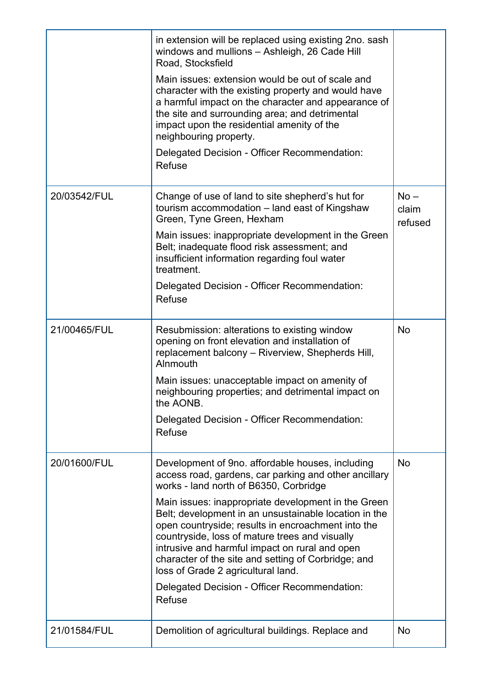|              | in extension will be replaced using existing 2no. sash<br>windows and mullions - Ashleigh, 26 Cade Hill<br>Road, Stocksfield                                                                                                                                                                                                                                        |                            |
|--------------|---------------------------------------------------------------------------------------------------------------------------------------------------------------------------------------------------------------------------------------------------------------------------------------------------------------------------------------------------------------------|----------------------------|
|              | Main issues: extension would be out of scale and<br>character with the existing property and would have<br>a harmful impact on the character and appearance of<br>the site and surrounding area; and detrimental<br>impact upon the residential amenity of the<br>neighbouring property.                                                                            |                            |
|              | Delegated Decision - Officer Recommendation:<br>Refuse                                                                                                                                                                                                                                                                                                              |                            |
| 20/03542/FUL | Change of use of land to site shepherd's hut for<br>tourism accommodation - land east of Kingshaw<br>Green, Tyne Green, Hexham                                                                                                                                                                                                                                      | $No -$<br>claim<br>refused |
|              | Main issues: inappropriate development in the Green<br>Belt; inadequate flood risk assessment; and<br>insufficient information regarding foul water<br>treatment.                                                                                                                                                                                                   |                            |
|              | Delegated Decision - Officer Recommendation:<br>Refuse                                                                                                                                                                                                                                                                                                              |                            |
| 21/00465/FUL | Resubmission: alterations to existing window<br>opening on front elevation and installation of<br>replacement balcony - Riverview, Shepherds Hill,<br>Alnmouth                                                                                                                                                                                                      | <b>No</b>                  |
|              | Main issues: unacceptable impact on amenity of<br>neighbouring properties; and detrimental impact on<br>the AONB.                                                                                                                                                                                                                                                   |                            |
|              | Delegated Decision - Officer Recommendation:<br>Refuse                                                                                                                                                                                                                                                                                                              |                            |
| 20/01600/FUL | Development of 9no. affordable houses, including<br>access road, gardens, car parking and other ancillary<br>works - land north of B6350, Corbridge                                                                                                                                                                                                                 | <b>No</b>                  |
|              | Main issues: inappropriate development in the Green<br>Belt; development in an unsustainable location in the<br>open countryside; results in encroachment into the<br>countryside, loss of mature trees and visually<br>intrusive and harmful impact on rural and open<br>character of the site and setting of Corbridge; and<br>loss of Grade 2 agricultural land. |                            |
|              | Delegated Decision - Officer Recommendation:<br>Refuse                                                                                                                                                                                                                                                                                                              |                            |
| 21/01584/FUL | Demolition of agricultural buildings. Replace and                                                                                                                                                                                                                                                                                                                   | <b>No</b>                  |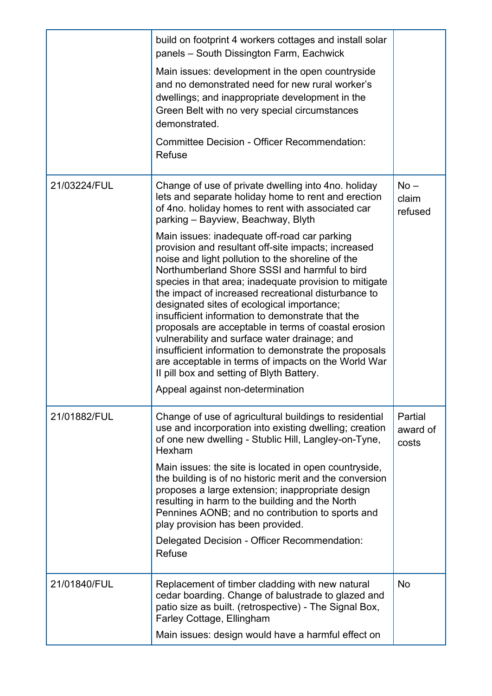|              | build on footprint 4 workers cottages and install solar<br>panels - South Dissington Farm, Eachwick<br>Main issues: development in the open countryside<br>and no demonstrated need for new rural worker's<br>dwellings; and inappropriate development in the<br>Green Belt with no very special circumstances<br>demonstrated.<br><b>Committee Decision - Officer Recommendation:</b><br><b>Refuse</b>                                                                                                                                                                                                                                                                                                                                                                                                                                                                                                                                         |                              |
|--------------|-------------------------------------------------------------------------------------------------------------------------------------------------------------------------------------------------------------------------------------------------------------------------------------------------------------------------------------------------------------------------------------------------------------------------------------------------------------------------------------------------------------------------------------------------------------------------------------------------------------------------------------------------------------------------------------------------------------------------------------------------------------------------------------------------------------------------------------------------------------------------------------------------------------------------------------------------|------------------------------|
| 21/03224/FUL | Change of use of private dwelling into 4no. holiday<br>lets and separate holiday home to rent and erection<br>of 4no. holiday homes to rent with associated car<br>parking - Bayview, Beachway, Blyth<br>Main issues: inadequate off-road car parking<br>provision and resultant off-site impacts; increased<br>noise and light pollution to the shoreline of the<br>Northumberland Shore SSSI and harmful to bird<br>species in that area; inadequate provision to mitigate<br>the impact of increased recreational disturbance to<br>designated sites of ecological importance;<br>insufficient information to demonstrate that the<br>proposals are acceptable in terms of coastal erosion<br>vulnerability and surface water drainage; and<br>insufficient information to demonstrate the proposals<br>are acceptable in terms of impacts on the World War<br>II pill box and setting of Blyth Battery.<br>Appeal against non-determination | $No -$<br>claim<br>refused   |
| 21/01882/FUL | Change of use of agricultural buildings to residential<br>use and incorporation into existing dwelling; creation<br>of one new dwelling - Stublic Hill, Langley-on-Tyne,<br>Hexham<br>Main issues: the site is located in open countryside,<br>the building is of no historic merit and the conversion<br>proposes a large extension; inappropriate design<br>resulting in harm to the building and the North<br>Pennines AONB; and no contribution to sports and<br>play provision has been provided.<br>Delegated Decision - Officer Recommendation:<br><b>Refuse</b>                                                                                                                                                                                                                                                                                                                                                                         | Partial<br>award of<br>costs |
| 21/01840/FUL | Replacement of timber cladding with new natural<br>cedar boarding. Change of balustrade to glazed and<br>patio size as built. (retrospective) - The Signal Box,<br>Farley Cottage, Ellingham<br>Main issues: design would have a harmful effect on                                                                                                                                                                                                                                                                                                                                                                                                                                                                                                                                                                                                                                                                                              | <b>No</b>                    |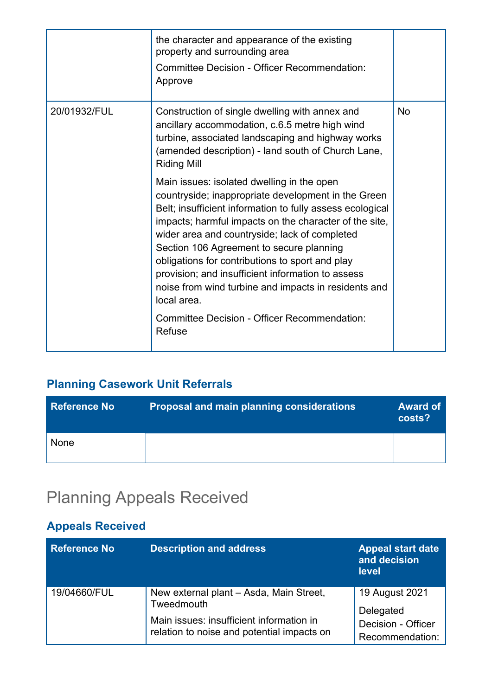|              | the character and appearance of the existing<br>property and surrounding area<br><b>Committee Decision - Officer Recommendation:</b><br>Approve                                                                                                                                                                                                                                                                                                                                                                                                                |           |
|--------------|----------------------------------------------------------------------------------------------------------------------------------------------------------------------------------------------------------------------------------------------------------------------------------------------------------------------------------------------------------------------------------------------------------------------------------------------------------------------------------------------------------------------------------------------------------------|-----------|
| 20/01932/FUL | Construction of single dwelling with annex and<br>ancillary accommodation, c.6.5 metre high wind<br>turbine, associated landscaping and highway works<br>(amended description) - land south of Church Lane,<br><b>Riding Mill</b>                                                                                                                                                                                                                                                                                                                              | <b>No</b> |
|              | Main issues: isolated dwelling in the open<br>countryside; inappropriate development in the Green<br>Belt; insufficient information to fully assess ecological<br>impacts; harmful impacts on the character of the site,<br>wider area and countryside; lack of completed<br>Section 106 Agreement to secure planning<br>obligations for contributions to sport and play<br>provision; and insufficient information to assess<br>noise from wind turbine and impacts in residents and<br>local area.<br>Committee Decision - Officer Recommendation:<br>Refuse |           |

### **Planning Casework Unit Referrals**

| <b>Reference No</b> | <b>Proposal and main planning considerations</b> | <b>Award of</b><br>costs? |
|---------------------|--------------------------------------------------|---------------------------|
| None                |                                                  |                           |

# Planning Appeals Received

### **Appeals Received**

| <b>Reference No</b> | <b>Description and address</b>                                                         | <b>Appeal start date</b><br>and decision<br><b>level</b> |
|---------------------|----------------------------------------------------------------------------------------|----------------------------------------------------------|
| 19/04660/FUL        | New external plant – Asda, Main Street,<br>Tweedmouth                                  | 19 August 2021<br>Delegated                              |
|                     | Main issues: insufficient information in<br>relation to noise and potential impacts on | Decision - Officer<br>Recommendation:                    |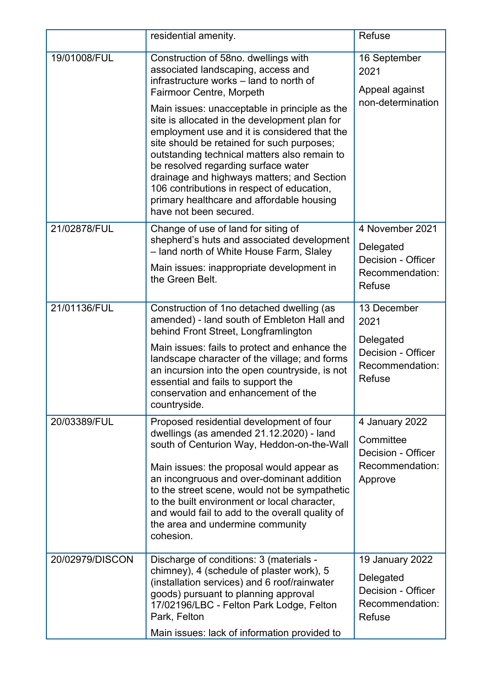|                 | residential amenity.                                                                                                                                                                                                                                                                                                                                                                                                                                                                                                                                                                                               | Refuse                                                                                 |
|-----------------|--------------------------------------------------------------------------------------------------------------------------------------------------------------------------------------------------------------------------------------------------------------------------------------------------------------------------------------------------------------------------------------------------------------------------------------------------------------------------------------------------------------------------------------------------------------------------------------------------------------------|----------------------------------------------------------------------------------------|
| 19/01008/FUL    | Construction of 58no. dwellings with<br>associated landscaping, access and<br>infrastructure works - land to north of<br><b>Fairmoor Centre, Morpeth</b><br>Main issues: unacceptable in principle as the<br>site is allocated in the development plan for<br>employment use and it is considered that the<br>site should be retained for such purposes;<br>outstanding technical matters also remain to<br>be resolved regarding surface water<br>drainage and highways matters; and Section<br>106 contributions in respect of education,<br>primary healthcare and affordable housing<br>have not been secured. | 16 September<br>2021<br>Appeal against<br>non-determination                            |
| 21/02878/FUL    | Change of use of land for siting of<br>shepherd's huts and associated development<br>- land north of White House Farm, Slaley<br>Main issues: inappropriate development in<br>the Green Belt.                                                                                                                                                                                                                                                                                                                                                                                                                      | 4 November 2021<br>Delegated<br>Decision - Officer<br>Recommendation:<br><b>Refuse</b> |
| 21/01136/FUL    | Construction of 1no detached dwelling (as<br>amended) - land south of Embleton Hall and<br>behind Front Street, Longframlington<br>Main issues: fails to protect and enhance the<br>landscape character of the village; and forms<br>an incursion into the open countryside, is not<br>essential and fails to support the<br>conservation and enhancement of the<br>countryside.                                                                                                                                                                                                                                   | 13 December<br>2021<br>Delegated<br>Decision - Officer<br>Recommendation:<br>Refuse    |
| 20/03389/FUL    | Proposed residential development of four<br>dwellings (as amended 21.12.2020) - land<br>south of Centurion Way, Heddon-on-the-Wall<br>Main issues: the proposal would appear as<br>an incongruous and over-dominant addition<br>to the street scene, would not be sympathetic<br>to the built environment or local character,<br>and would fail to add to the overall quality of<br>the area and undermine community<br>cohesion.                                                                                                                                                                                  | 4 January 2022<br>Committee<br>Decision - Officer<br>Recommendation:<br>Approve        |
| 20/02979/DISCON | Discharge of conditions: 3 (materials -<br>chimney), 4 (schedule of plaster work), 5<br>(installation services) and 6 roof/rainwater<br>goods) pursuant to planning approval<br>17/02196/LBC - Felton Park Lodge, Felton<br>Park, Felton<br>Main issues: lack of information provided to                                                                                                                                                                                                                                                                                                                           | 19 January 2022<br>Delegated<br>Decision - Officer<br>Recommendation:<br>Refuse        |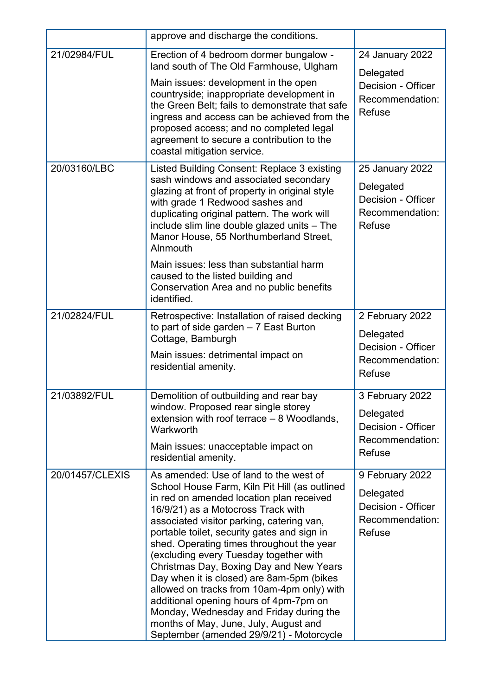|                 | approve and discharge the conditions.                                                                                                                                                                                                                                                                                                                                                                                                                                                                                                                                                                                                                                        |                                                                                        |
|-----------------|------------------------------------------------------------------------------------------------------------------------------------------------------------------------------------------------------------------------------------------------------------------------------------------------------------------------------------------------------------------------------------------------------------------------------------------------------------------------------------------------------------------------------------------------------------------------------------------------------------------------------------------------------------------------------|----------------------------------------------------------------------------------------|
| 21/02984/FUL    | Erection of 4 bedroom dormer bungalow -<br>land south of The Old Farmhouse, Ulgham<br>Main issues: development in the open<br>countryside; inappropriate development in<br>the Green Belt; fails to demonstrate that safe<br>ingress and access can be achieved from the<br>proposed access; and no completed legal<br>agreement to secure a contribution to the<br>coastal mitigation service.                                                                                                                                                                                                                                                                              | 24 January 2022<br>Delegated<br>Decision - Officer<br>Recommendation:<br><b>Refuse</b> |
| 20/03160/LBC    | Listed Building Consent: Replace 3 existing<br>sash windows and associated secondary<br>glazing at front of property in original style<br>with grade 1 Redwood sashes and<br>duplicating original pattern. The work will<br>include slim line double glazed units - The<br>Manor House, 55 Northumberland Street,<br>Alnmouth<br>Main issues: less than substantial harm<br>caused to the listed building and<br>Conservation Area and no public benefits<br>identified.                                                                                                                                                                                                     | 25 January 2022<br>Delegated<br>Decision - Officer<br>Recommendation:<br><b>Refuse</b> |
| 21/02824/FUL    | Retrospective: Installation of raised decking<br>to part of side garden $-7$ East Burton<br>Cottage, Bamburgh<br>Main issues: detrimental impact on<br>residential amenity.                                                                                                                                                                                                                                                                                                                                                                                                                                                                                                  | 2 February 2022<br>Delegated<br>Decision - Officer<br>Recommendation:<br>Refuse        |
| 21/03892/FUL    | Demolition of outbuilding and rear bay<br>window. Proposed rear single storey<br>extension with roof terrace $-8$ Woodlands,<br>Warkworth<br>Main issues: unacceptable impact on<br>residential amenity.                                                                                                                                                                                                                                                                                                                                                                                                                                                                     | 3 February 2022<br>Delegated<br>Decision - Officer<br>Recommendation:<br>Refuse        |
| 20/01457/CLEXIS | As amended: Use of land to the west of<br>School House Farm, Kiln Pit Hill (as outlined<br>in red on amended location plan received<br>16/9/21) as a Motocross Track with<br>associated visitor parking, catering van,<br>portable toilet, security gates and sign in<br>shed. Operating times throughout the year<br>(excluding every Tuesday together with<br>Christmas Day, Boxing Day and New Years<br>Day when it is closed) are 8am-5pm (bikes<br>allowed on tracks from 10am-4pm only) with<br>additional opening hours of 4pm-7pm on<br>Monday, Wednesday and Friday during the<br>months of May, June, July, August and<br>September (amended 29/9/21) - Motorcycle | 9 February 2022<br>Delegated<br>Decision - Officer<br>Recommendation:<br><b>Refuse</b> |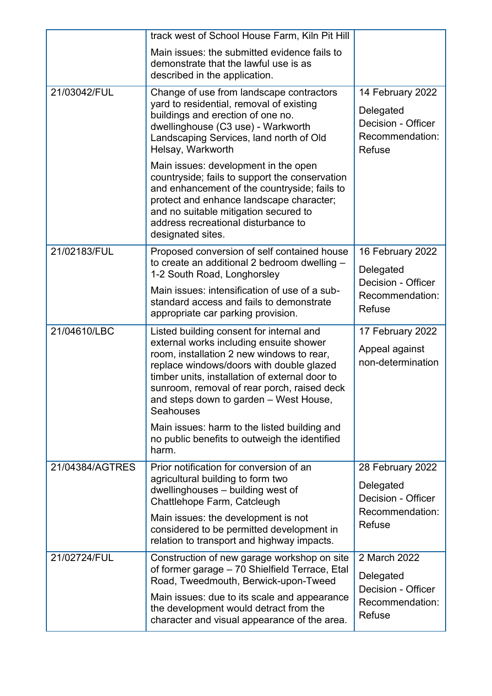|                 | track west of School House Farm, Kiln Pit Hill                                                                                                                                                                                                                                                                                       |                                                                                  |
|-----------------|--------------------------------------------------------------------------------------------------------------------------------------------------------------------------------------------------------------------------------------------------------------------------------------------------------------------------------------|----------------------------------------------------------------------------------|
|                 | Main issues: the submitted evidence fails to<br>demonstrate that the lawful use is as<br>described in the application.                                                                                                                                                                                                               |                                                                                  |
| 21/03042/FUL    | Change of use from landscape contractors<br>yard to residential, removal of existing<br>buildings and erection of one no.<br>dwellinghouse (C3 use) - Warkworth<br>Landscaping Services, land north of Old<br>Helsay, Warkworth                                                                                                      | 14 February 2022<br>Delegated<br>Decision - Officer<br>Recommendation:<br>Refuse |
|                 | Main issues: development in the open<br>countryside; fails to support the conservation<br>and enhancement of the countryside; fails to<br>protect and enhance landscape character;<br>and no suitable mitigation secured to<br>address recreational disturbance to<br>designated sites.                                              |                                                                                  |
| 21/02183/FUL    | Proposed conversion of self contained house                                                                                                                                                                                                                                                                                          | 16 February 2022                                                                 |
|                 | to create an additional 2 bedroom dwelling -<br>1-2 South Road, Longhorsley                                                                                                                                                                                                                                                          | Delegated                                                                        |
|                 | Main issues: intensification of use of a sub-<br>standard access and fails to demonstrate<br>appropriate car parking provision.                                                                                                                                                                                                      | Decision - Officer<br>Recommendation:<br><b>Refuse</b>                           |
| 21/04610/LBC    | Listed building consent for internal and<br>external works including ensuite shower<br>room, installation 2 new windows to rear,<br>replace windows/doors with double glazed<br>timber units, installation of external door to<br>sunroom, removal of rear porch, raised deck<br>and steps down to garden - West House,<br>Seahouses | 17 February 2022<br>Appeal against<br>non-determination                          |
|                 | Main issues: harm to the listed building and<br>no public benefits to outweigh the identified<br>harm.                                                                                                                                                                                                                               |                                                                                  |
| 21/04384/AGTRES | Prior notification for conversion of an<br>agricultural building to form two<br>dwellinghouses - building west of<br>Chattlehope Farm, Catcleugh                                                                                                                                                                                     | 28 February 2022<br>Delegated<br>Decision - Officer<br>Recommendation:           |
|                 | Main issues: the development is not<br>considered to be permitted development in<br>relation to transport and highway impacts.                                                                                                                                                                                                       | Refuse                                                                           |
| 21/02724/FUL    | Construction of new garage workshop on site<br>of former garage - 70 Shielfield Terrace, Etal<br>Road, Tweedmouth, Berwick-upon-Tweed                                                                                                                                                                                                | 2 March 2022<br>Delegated<br>Decision - Officer                                  |
|                 | Main issues: due to its scale and appearance<br>the development would detract from the<br>character and visual appearance of the area.                                                                                                                                                                                               | Recommendation:<br>Refuse                                                        |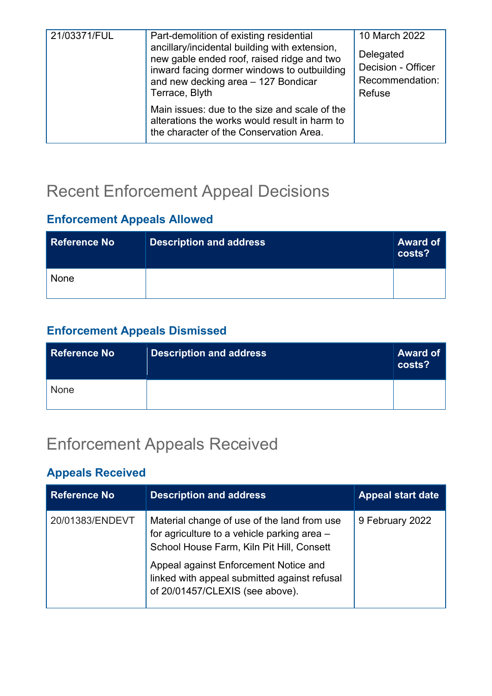| 21/03371/FUL | Part-demolition of existing residential<br>ancillary/incidental building with extension,<br>new gable ended roof, raised ridge and two<br>inward facing dormer windows to outbuilding<br>and new decking area - 127 Bondicar | 10 March 2022<br>Delegated<br>Decision - Officer<br>Recommendation: |
|--------------|------------------------------------------------------------------------------------------------------------------------------------------------------------------------------------------------------------------------------|---------------------------------------------------------------------|
|              | Terrace, Blyth<br>Main issues: due to the size and scale of the<br>alterations the works would result in harm to<br>the character of the Conservation Area.                                                                  | Refuse                                                              |

### Recent Enforcement Appeal Decisions

### **Enforcement Appeals Allowed**

| Reference No | <b>Description and address</b> | <b>Award of</b><br>costs? |
|--------------|--------------------------------|---------------------------|
| None         |                                |                           |

### **Enforcement Appeals Dismissed**

| Reference No | <b>Description and address</b> | <b>Award of</b><br>costs? |
|--------------|--------------------------------|---------------------------|
| <b>None</b>  |                                |                           |

### Enforcement Appeals Received

### **Appeals Received**

| <b>Reference No</b> | <b>Description and address</b>                                                                                                                                                                                                                                      | <b>Appeal start date</b> |
|---------------------|---------------------------------------------------------------------------------------------------------------------------------------------------------------------------------------------------------------------------------------------------------------------|--------------------------|
| 20/01383/ENDEVT     | Material change of use of the land from use<br>for agriculture to a vehicle parking area -<br>School House Farm, Kiln Pit Hill, Consett<br>Appeal against Enforcement Notice and<br>linked with appeal submitted against refusal<br>of 20/01457/CLEXIS (see above). | 9 February 2022          |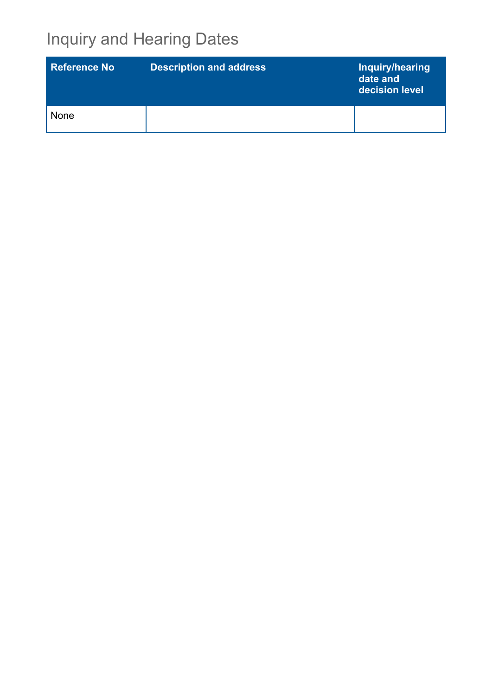# Inquiry and Hearing Dates

| <b>Reference No.</b> | <b>Description and address</b> | Inquiry/hearing<br>date and<br>decision level |
|----------------------|--------------------------------|-----------------------------------------------|
| None                 |                                |                                               |